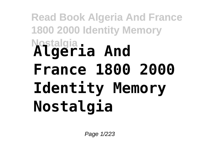## **Read Book Algeria And France 1800 2000 Identity Memory Nostalgia Algeria And France 1800 2000 Identity Memory Nostalgia**

Page 1/223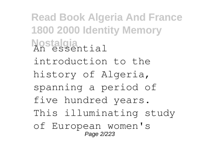**Read Book Algeria And France 1800 2000 Identity Memory Nostalgia** An essential introduction to the history of Algeria, spanning a period of five hundred years. This illuminating study of European women's Page 2/223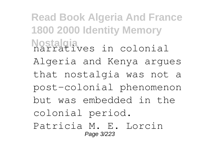**Read Book Algeria And France 1800 2000 Identity Memory Nostalgia** narratives in colonial Algeria and Kenya argues that nostalgia was not a post-colonial phenomenon but was embedded in the colonial period. Patricia M. E. Lorcin Page 3/223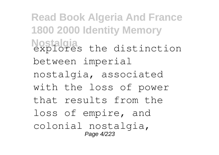**Read Book Algeria And France 1800 2000 Identity Memory Nostalgia** explores the distinction between imperial nostalgia, associated with the loss of power that results from the loss of empire, and colonial nostalgia, Page 4/223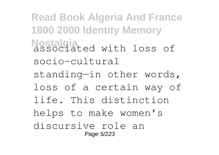**Read Book Algeria And France 1800 2000 Identity Memory Nostalgia** associated with loss of socio-cultural standing—in other words, loss of a certain way of life. This distinction helps to make women's discursive role an Page 5/223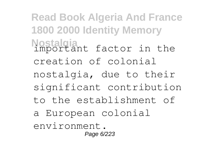**Read Book Algeria And France 1800 2000 Identity Memory Nostalgia** important factor in the creation of colonial nostalgia, due to their significant contribution to the establishment of a European colonial environment. Page 6/223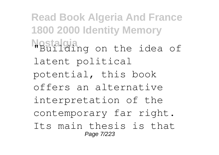**Read Book Algeria And France 1800 2000 Identity Memory Nostalgia**<br>"Building on the idea of latent political potential, this book offers an alternative interpretation of the contemporary far right. Its main thesis is that Page 7/223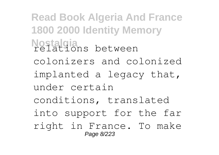**Read Book Algeria And France 1800 2000 Identity Memory Nostalgia** relations between colonizers and colonized implanted a legacy that, under certain conditions, translated into support for the far right in France. To make Page 8/223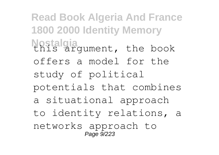**Read Book Algeria And France 1800 2000 Identity Memory** Nostalgia<br>this argument, the book offers a model for the study of political potentials that combines a situational approach to identity relations, a networks approach to Page 9/223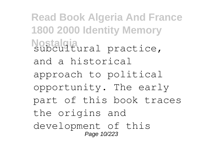**Read Book Algeria And France 1800 2000 Identity Memory** Nostalgia<br>subcultural practice, and a historical approach to political opportunity. The early part of this book traces the origins and development of this Page 10/223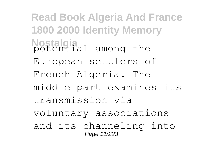**Read Book Algeria And France 1800 2000 Identity Memory Nostalgia** potential among the European settlers of French Algeria. The middle part examines its transmission via voluntary associations and its channeling into Page 11/223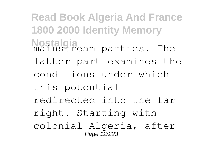**Read Book Algeria And France 1800 2000 Identity Memory Nostalgia** mainstream parties. The latter part examines the conditions under which this potential redirected into the far right. Starting with colonial Algeria, after Page 12/223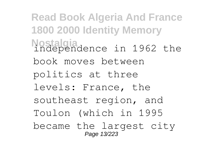**Read Book Algeria And France 1800 2000 Identity Memory Nostalgia** independence in 1962 the book moves between politics at three levels: France, the southeast region, and Toulon (which in 1995 became the largest city Page 13/223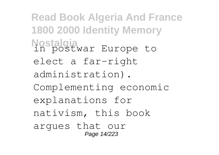**Read Book Algeria And France 1800 2000 Identity Memory Nostalgia** in postwar Europe to elect a far-right administration). Complementing economic explanations for nativism, this book argues that our Page 14/223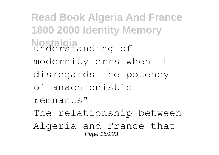**Read Book Algeria And France 1800 2000 Identity Memory Nostalgia** understanding of modernity errs when it disregards the potency of anachronistic remnants"-- The relationship between Algeria and France that Page 15/223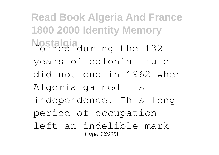**Read Book Algeria And France 1800 2000 Identity Memory Nostalgia** formed during the 132 years of colonial rule did not end in 1962 when Algeria gained its independence. This long period of occupation left an indelible mark Page 16/223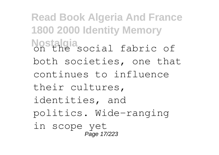**Read Book Algeria And France 1800 2000 Identity Memory Nostalgia**<br>on the social fabric of both societies, one that continues to influence their cultures, identities, and politics. Wide-ranging in scope yet Page 17/223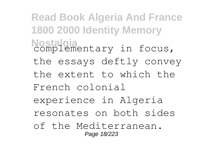**Read Book Algeria And France 1800 2000 Identity Memory Nostalgia** complementary in focus, the essays deftly convey the extent to which the French colonial experience in Algeria resonates on both sides of the Mediterranean. Page 18/223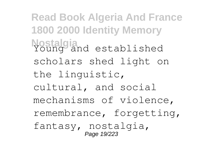**Read Book Algeria And France 1800 2000 Identity Memory** Nostalgia<br>Young and established scholars shed light on the linguistic, cultural, and social mechanisms of violence, remembrance, forgetting, fantasy, nostalgia, Page 19/223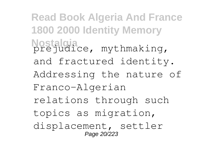**Read Book Algeria And France 1800 2000 Identity Memory Nostalgia** prejudice, mythmaking, and fractured identity. Addressing the nature of Franco-Algerian relations through such topics as migration, displacement, settler Page 20/223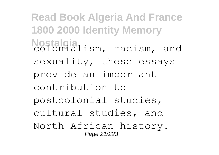**Read Book Algeria And France 1800 2000 Identity Memory** Nostalgia<br>colonialism, racism, and sexuality, these essays provide an important contribution to postcolonial studies, cultural studies, and North African history. Page 21/223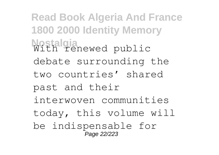**Read Book Algeria And France 1800 2000 Identity Memory Nostalgia** With renewed public debate surrounding the two countries' shared past and their interwoven communities today, this volume will be indispensable for -<br>Page 22/223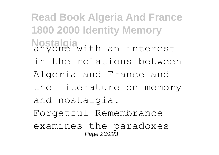**Read Book Algeria And France 1800 2000 Identity Memory Nostalgia**<br>anyone with an interest in the relations between Algeria and France and the literature on memory and nostalgia. Forgetful Remembrance examines the paradoxes Page 23/223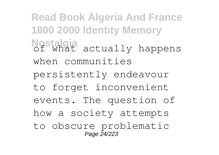**Read Book Algeria And France 1800 2000 Identity Memory** Nostalgia<br>Of what actually happens when communities persistently endeavour to forget inconvenient events. The question of how a society attempts to obscure problematic Page 24/223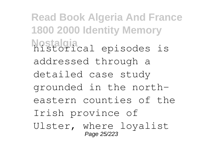**Read Book Algeria And France 1800 2000 Identity Memory Nostalgia** historical episodes is addressed through a detailed case study grounded in the northeastern counties of the Irish province of Ulster, where loyalist Page 25/223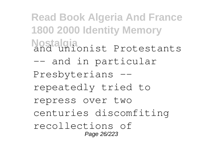**Read Book Algeria And France 1800 2000 Identity Memory Nostalgia** and unionist Protestants -- and in particular Presbyterians - repeatedly tried to repress over two centuries discomfiting recollections of Page 26/223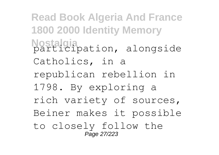**Read Book Algeria And France 1800 2000 Identity Memory Nostalgia** participation, alongside Catholics, in a republican rebellion in 1798. By exploring a rich variety of sources, Beiner makes it possible to closely follow the Page 27/223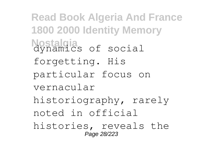**Read Book Algeria And France 1800 2000 Identity Memory Nostalgia** dynamics of social forgetting. His particular focus on vernacular historiography, rarely noted in official histories, reveals the Page 28/223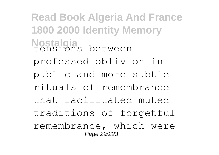**Read Book Algeria And France 1800 2000 Identity Memory** Nostalgia<br>tensions between professed oblivion in public and more subtle rituals of remembrance that facilitated muted traditions of forgetful remembrance, which were Page 29/223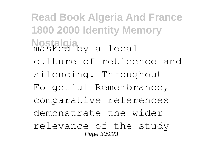**Read Book Algeria And France 1800 2000 Identity Memory Nostalgia** masked by a local culture of reticence and silencing. Throughout Forgetful Remembrance, comparative references demonstrate the wider relevance of the study Page 30/223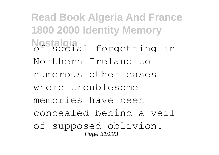**Read Book Algeria And France 1800 2000 Identity Memory Nostalgia**<br> **Of social** forgetting in Northern Ireland to numerous other cases where troublesome memories have been concealed behind a veil of supposed oblivion. Page 31/223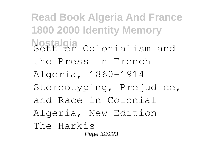**Read Book Algeria And France 1800 2000 Identity Memory Nostalgia** Colonialism and the Press in French Algeria, 1860-1914 Stereotyping, Prejudice, and Race in Colonial Algeria, New Edition The Harkis Page 32/223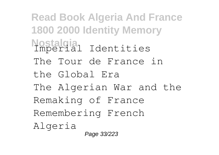**Read Book Algeria And France 1800 2000 Identity Memory Nostalgia** Imperial Identities The Tour de France in the Global Era The Algerian War and the Remaking of France Remembering French Algeria Page 33/223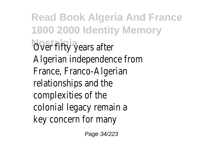**Read Book Algeria And France 1800 2000 Identity Memory** *Over fifty years after* Algerian independence from France, Franco-Algerian relationships and the complexities of the colonial legacy remain a key concern for many

Page 34/223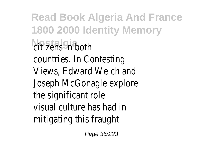**Read Book Algeria And France 1800 2000 Identity Memory Nostalgia** in both countries. In Contesting Views, Edward Welch and Joseph McGonagle explore the significant role visual culture has had in mitigating this fraugh

Page 35/223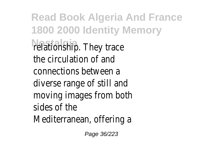**Read Book Algeria And France 1800 2000 Identity Memory Natitionship.** They trace the circulation of and connections between a diverse range of still and moving images from both sides of the Mediterranean, offering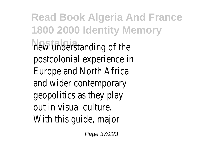**Read Book Algeria And France 1800 2000 Identity Memory New understanding of the** postcolonial experience in Europe and North Africa and wider contemporary geopolitics as they play out in visual culture. With this guide, major

Page 37/223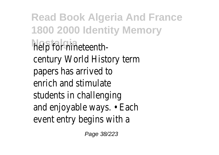**Read Book Algeria And France 1800 2000 Identity Memory Nostalgia** help for nineteenthcentury World History term papers has arrived to enrich and stimulate students in challenging and enjoyable ways. • Each event entry begins with a

Page 38/223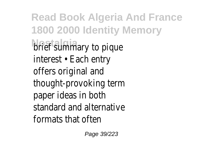**Read Book Algeria And France 1800 2000 Identity Memory Nostalgia** brief summary to pique interest • Each entry offers original and thought-provoking term paper ideas in both standard and alternative formats that often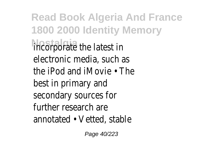**Read Book Algeria And France 1800 2000 Identity Memory Nostalgia** incorporate the latest in electronic media, such as the iPod and iMovie • The best in primary and secondary sources for further research are annotated • Vetted, stable

Page 40/223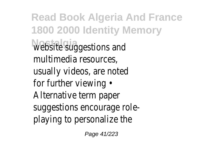**Read Book Algeria And France 1800 2000 Identity Memory Website suggestions and** multimedia resources, usually videos, are noted for further viewing • Alternative term paper suggestions encourage roleplaying to personalize the

Page 41/223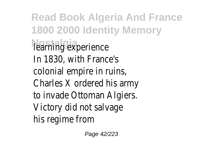**Read Book Algeria And France 1800 2000 Identity Memory** learning experience In 1830, with France's colonial empire in ruins, Charles X ordered his army to invade Ottoman Algiers. Victory did not salvage his regime from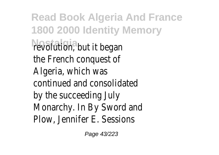**Read Book Algeria And France 1800 2000 Identity Memory Nevolution**, but it began the French conquest of Algeria, which was continued and consolidated by the succeeding July Monarchy. In By Sword and Plow, Jennifer E. Sessions

Page 43/223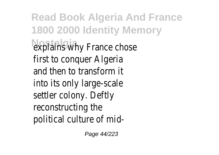**Read Book Algeria And France 1800 2000 Identity Memory explains why France chose** first to conquer Algeria and then to transform it into its only large-scale settler colony. Deftly reconstructing the political culture of mid-

Page 44/223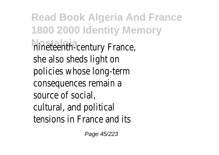**Read Book Algeria And France 1800 2000 Identity Memory hineteenth-century France,** she also sheds light on policies whose long-term consequences remain a source of social, cultural, and political tensions in France and its

Page 45/223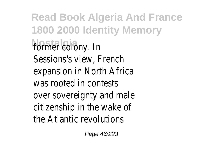**Read Book Algeria And France 1800 2000 Identity Memory** former colony. In Sessions's view, French expansion in North Africa was rooted in contests over sovereignty and male citizenship in the wake of the Atlantic revolutions

Page 46/223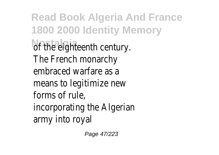**Read Book Algeria And France 1800 2000 Identity Memory No the eighteenth century.** The French monarchy embraced warfare as a means to legitimize new forms of rule, incorporating the Algerian army into royal

Page 47/223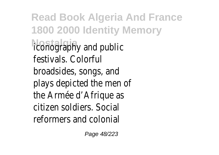**Read Book Algeria And France 1800 2000 Identity Memory** *<u>Iconography</u>* and public festivals. Colorful broadsides, songs, and plays depicted the men of the Armée d'Afrique as citizen soldiers. Social reformers and colonial

Page 48/223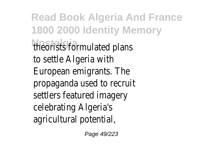**Read Book Algeria And France 1800 2000 Identity Memory Nostalgia** theorists formulated plans to settle Algeria with European emigrants. The propaganda used to recruit settlers featured imagery celebrating Algeria's agricultural potential,

Page 49/223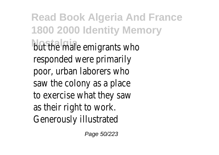**Read Book Algeria And France 1800 2000 Identity Memory Not the male emigrants who** responded were primarily poor, urban laborers who saw the colony as a place to exercise what they saw as their right to work. Generously illustrated

Page 50/223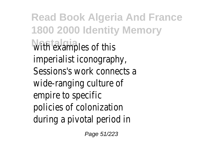**Read Book Algeria And France 1800 2000 Identity Memory With examples of this** imperialist iconography, Sessions's work connects a wide-ranging culture of empire to specific policies of colonization during a pivotal period in

Page 51/223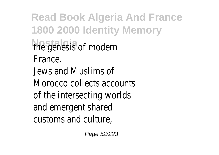**Read Book Algeria And France 1800 2000 Identity Memory** the genesis of modern France. Jews and Muslims of Morocco collects accounts of the intersecting worlds and emergent shared customs and culture,

Page 52/223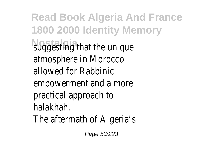**Read Book Algeria And France 1800 2000 Identity Memory Nostalling that the unique** atmosphere in Morocco allowed for Rabbinic empowerment and a more practical approach to halakhah. The aftermath of Algeria's

Page 53/223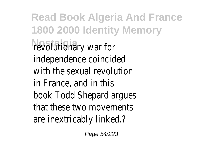**Read Book Algeria And France 1800 2000 Identity Memory Nevolutionary war for** independence coincided with the sexual revolution in France, and in this book Todd Shepard argues that these two movements are inextricably linked.?

Page 54/223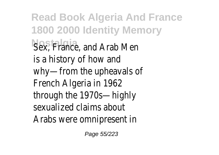**Read Book Algeria And France 1800 2000 Identity Memory Nostalgia** Sex, France, and Arab Men is a history of how and why—from the upheavals of French Algeria in 1962 through the 1970s—highly sexualized claims about Arabs were omnipresent in

Page 55/223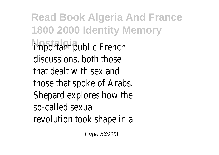**Read Book Algeria And France 1800 2000 Identity Memory Important** public French discussions, both those that dealt with sex and those that spoke of Arabs. Shepard explores how the so-called sexual revolution took shape in a

Page 56/223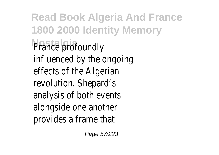**Read Book Algeria And France 1800 2000 Identity Memory France profoundly** influenced by the ongoing effects of the Algerian revolution. Shepard's analysis of both events alongside one another provides a frame that

Page 57/223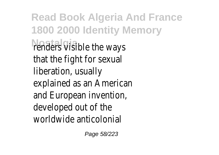**Read Book Algeria And France 1800 2000 Identity Memory** renders visible the ways that the fight for sexual liberation, usually explained as an American and European invention, developed out of the worldwide anticolonial

Page 58/223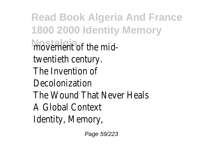**Read Book Algeria And France 1800 2000 Identity Memory** movement of the midtwentieth century. The Invention of Decolonization The Wound That Never Heals A Global Context Identity, Memory,

Page 59/223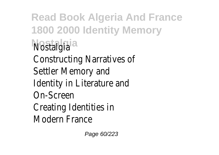**Read Book Algeria And France 1800 2000 Identity Memory Nostalgia** Nostalgia Constructing Narratives of Settler Memory and Identity in Literature and On-Screen Creating Identities in Modern France

Page 60/223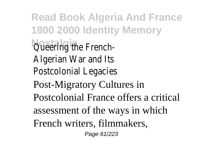**Read Book Algeria And France 1800 2000 Identity Memory Queering the French-**Algerian War and Its Postcolonial Legacies Post-Migratory Cultures in Postcolonial France offers a critical assessment of the ways in which French writers, filmmakers, Page 61/223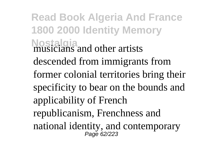**Read Book Algeria And France 1800 2000 Identity Memory Nostalgia** musicians and other artists descended from immigrants from former colonial territories bring their specificity to bear on the bounds and applicability of French republicanism, Frenchness and national identity, and contemporary Page 62/223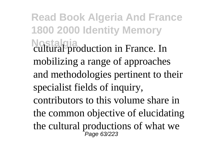**Read Book Algeria And France 1800 2000 Identity Memory Nostalgia** cultural production in France. In mobilizing a range of approaches and methodologies pertinent to their specialist fields of inquiry, contributors to this volume share in the common objective of elucidating the cultural productions of what we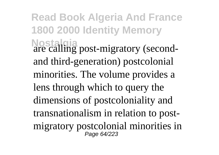**Read Book Algeria And France 1800 2000 Identity Memory Nostalgia** are calling post-migratory (secondand third-generation) postcolonial minorities. The volume provides a lens through which to query the dimensions of postcoloniality and transnationalism in relation to postmigratory postcolonial minorities in Page 64/223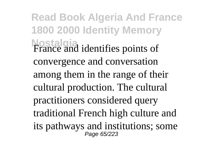**Read Book Algeria And France 1800 2000 Identity Memory Nostalgia** France and identifies points of convergence and conversation among them in the range of their cultural production. The cultural practitioners considered query traditional French high culture and its pathways and institutions; some Page 65/223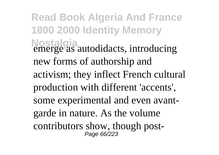**Read Book Algeria And France 1800 2000 Identity Memory Nostalgia** emerge as autodidacts, introducing new forms of authorship and activism; they inflect French cultural production with different 'accents', some experimental and even avantgarde in nature. As the volume contributors show, though post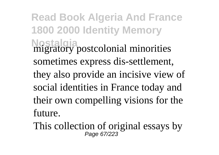**Read Book Algeria And France 1800 2000 Identity Memory Nostalgia** migratory postcolonial minorities sometimes express dis-settlement, they also provide an incisive view of social identities in France today and their own compelling visions for the future.

This collection of original essays by  $P_{\text{age 67/223}}$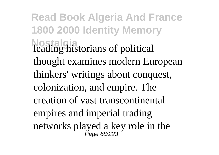**Read Book Algeria And France 1800 2000 Identity Memory Nostalgia** leading historians of political thought examines modern European thinkers' writings about conquest, colonization, and empire. The creation of vast transcontinental empires and imperial trading networks played a key role in the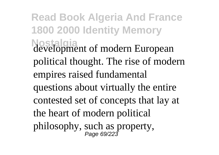**Read Book Algeria And France 1800 2000 Identity Memory Nostalgia** development of modern European political thought. The rise of modern empires raised fundamental questions about virtually the entire contested set of concepts that lay at the heart of modern political philosophy, such as property,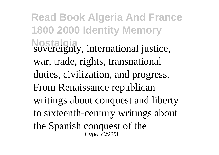**Read Book Algeria And France 1800 2000 Identity Memory Nostalgia** sovereignty, international justice, war, trade, rights, transnational duties, civilization, and progress. From Renaissance republican writings about conquest and liberty to sixteenth-century writings about the Spanish conquest of the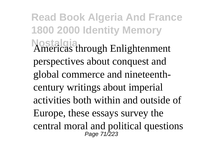**Read Book Algeria And France 1800 2000 Identity Memory Nostalgia** Americas through Enlightenment perspectives about conquest and global commerce and nineteenthcentury writings about imperial activities both within and outside of Europe, these essays survey the central moral and political questions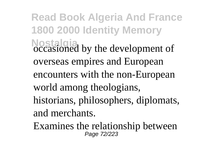**Read Book Algeria And France 1800 2000 Identity Memory Nostalgia** occasioned by the development of overseas empires and European encounters with the non-European world among theologians, historians, philosophers, diplomats, and merchants.

Examines the relationship between Page 72/223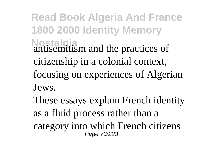**Read Book Algeria And France 1800 2000 Identity Memory Nostalgia** antisemitism and the practices of citizenship in a colonial context, focusing on experiences of Algerian Jews.

These essays explain French identity as a fluid process rather than a category into which French citizens Page 73/223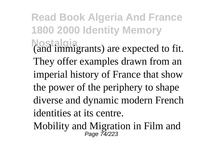**Read Book Algeria And France 1800 2000 Identity Memory Nostalgia** (and immigrants) are expected to fit. They offer examples drawn from an imperial history of France that show the power of the periphery to shape diverse and dynamic modern French identities at its centre.

Mobility and Migration in Film and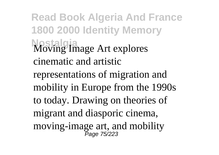**Read Book Algeria And France 1800 2000 Identity Memory Nostalgia** Moving Image Art explores cinematic and artistic representations of migration and mobility in Europe from the 1990s to today. Drawing on theories of migrant and diasporic cinema, moving-image art, and mobility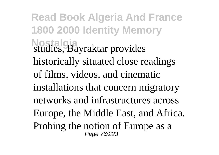**Read Book Algeria And France 1800 2000 Identity Memory Nostalgia** studies, Bayraktar provides historically situated close readings of films, videos, and cinematic installations that concern migratory networks and infrastructures across Europe, the Middle East, and Africa. Probing the notion of Europe as a Page 76/223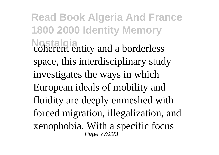**Read Book Algeria And France 1800 2000 Identity Memory Nostalgia** coherent entity and a borderless space, this interdisciplinary study investigates the ways in which European ideals of mobility and fluidity are deeply enmeshed with forced migration, illegalization, and xenophobia. With a specific focus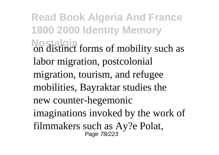**Read Book Algeria And France 1800 2000 Identity Memory Nostalgia**<br>on distinct forms of mobility such as labor migration, postcolonial migration, tourism, and refugee mobilities, Bayraktar studies the new counter-hegemonic imaginations invoked by the work of filmmakers such as Ay?e Polat,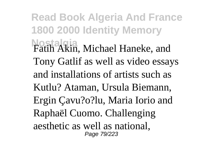**Read Book Algeria And France 1800 2000 Identity Memory Nostalgia** Fatih Akin, Michael Haneke, and Tony Gatlif as well as video essays and installations of artists such as Kutlu? Ataman, Ursula Biemann, Ergin Çavu?o?lu, Maria Iorio and Raphaël Cuomo. Challenging aesthetic as well as national, Page 79/223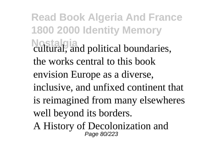**Read Book Algeria And France 1800 2000 Identity Memory Nostalgia** cultural, and political boundaries, the works central to this book envision Europe as a diverse, inclusive, and unfixed continent that is reimagined from many elsewheres well beyond its borders. A History of Decolonization and Page 80/223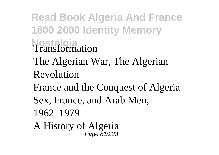## **Read Book Algeria And France 1800 2000 Identity Memory Nostalgia** Transformation

- The Algerian War, The Algerian Revolution
- France and the Conquest of Algeria
- Sex, France, and Arab Men,
- 1962–1979
- A History of Algeria Page 81/223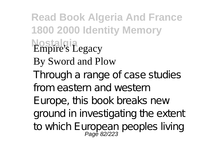**Read Book Algeria And France 1800 2000 Identity Memory Nostalgia** Empire's Legacy By Sword and Plow Through a range of case studies from eastern and western Europe, this book breaks new ground in investigating the extent to which European peoples living<br>Page 82/223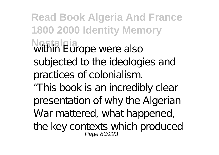**Read Book Algeria And France 1800 2000 Identity Memory Nostalgia**<br>Within Europe were also subjected to the ideologies and practices of colonialism. "This book is an incredibly clear presentation of why the Algerian War mattered, what happened, the key contexts which produced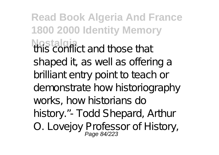**Read Book Algeria And France 1800 2000 Identity Memory Nostalgia**<br>this conflict and those that shaped it, as well as offering a brilliant entry point to teach or demonstrate how historiography works, how historians do history."- Todd Shepard, Arthur O. Lovejoy Professor of History,<br>Page 84/223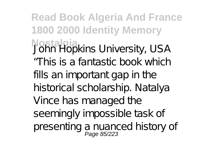**Read Book Algeria And France 1800 2000 Identity Memory Nostalgia** John Hopkins University, USA "This is a fantastic book which fills an important gap in the historical scholarship. Natalya Vince has managed the seemingly impossible task of presenting a nuanced history of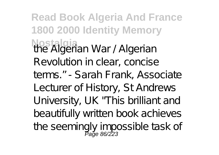**Read Book Algeria And France 1800 2000 Identity Memory Nostalgia** the Algerian War / Algerian Revolution in clear, concise terms." - Sarah Frank, Associate Lecturer of History, St Andrews University, UK "This brilliant and beautifully written book achieves the seemingly impossible task of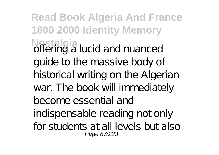**Read Book Algeria And France 1800 2000 Identity Memory Nostalgia**<br>**offering a lucid and nuanced** guide to the massive body of historical writing on the Algerian war. The book will immediately become essential and indispensable reading not only for students at all levels but also Page 87/223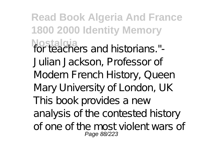**Read Book Algeria And France 1800 2000 Identity Memory Nostalgia** for teachers and historians."- Julian Jackson, Professor of Modern French History, Queen Mary University of London, UK This book provides a new analysis of the contested history of one of the most violent wars of Page 88/223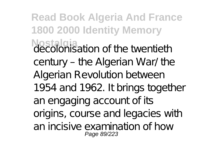**Read Book Algeria And France 1800 2000 Identity Memory Nostalgia** decolonisation of the twentieth century – the Algerian War/ the Algerian Revolution between 1954 and 1962. It brings together an engaging account of its origins, course and legacies with an incisive examination of how Page 89/223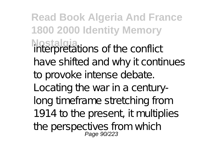**Read Book Algeria And France 1800 2000 Identity Memory Nostalgia** interpretations of the conflict have shifted and why it continues to provoke intense debate. Locating the war in a centurylong timeframe stretching from 1914 to the present, it multiplies the perspectives from which<br>Page 90/223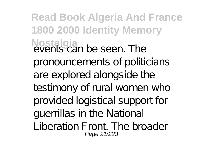**Read Book Algeria And France 1800 2000 Identity Memory Nostalgia**<br>events can be seen. The pronouncements of politicians are explored alongside the testimony of rural women who provided logistical support for guerrillas in the National Liberation Front. The broader Page 91/223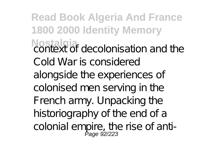**Read Book Algeria And France 1800 2000 Identity Memory Nostalgia** context of decolonisation and the Cold War is considered alongside the experiences of colonised men serving in the French army. Unpacking the historiography of the end of a colonial empire, the rise of anti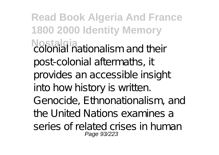**Read Book Algeria And France 1800 2000 Identity Memory Nostalgia** colonial nationalism and their post-colonial aftermaths, it provides an accessible insight into how history is written. Genocide, Ethnonationalism, and the United Nations examines a series of related crises in human Page 93/223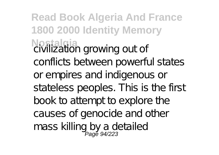**Read Book Algeria And France 1800 2000 Identity Memory Nostalgia** civilization growing out of conflicts between powerful states or empires and indigenous or stateless peoples. This is the first book to attempt to explore the causes of genocide and other mass killing by a detailed<br>Page 94/223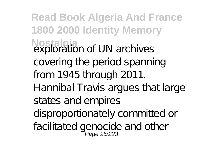**Read Book Algeria And France 1800 2000 Identity Memory Nostalgia** exploration of UN archives covering the period spanning from 1945 through 2011. Hannibal Travis argues that large states and empires disproportionately committed or facilitated genocide and other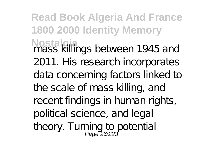**Read Book Algeria And France 1800 2000 Identity Memory Nostalgia** mass killings between 1945 and 2011. His research incorporates data concerning factors linked to the scale of mass killing, and recent findings in human rights, political science, and legal theory. Turning to potential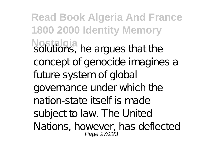**Read Book Algeria And France 1800 2000 Identity Memory Nostalgia**<br>solutions, he argues that the concept of genocide imagines a future system of global governance under which the nation-state itself is made subject to law. The United Nations, however, has deflected Page 97/223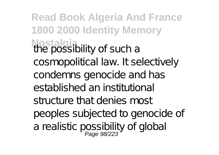**Read Book Algeria And France 1800 2000 Identity Memory Nostalgia**<br>the possibility of such a cosmopolitical law. It selectively condemns genocide and has established an institutional structure that denies most peoples subjected to genocide of a realistic possibility of global<br>Page 98/223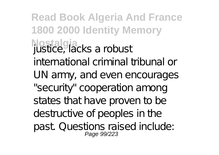**Read Book Algeria And France 1800 2000 Identity Memory Nostalgia** justice, lacks a robust international criminal tribunal or UN army, and even encourages "security" cooperation among states that have proven to be destructive of peoples in the past. Questions raised include: Page 99/223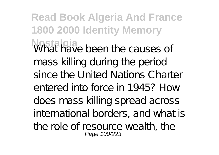**Read Book Algeria And France 1800 2000 Identity Memory** What have been the causes of mass killing during the period since the United Nations Charter entered into force in 1945? How does mass killing spread across international borders, and what is the role of resource wealth, the Page 100/223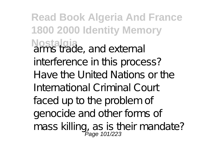**Read Book Algeria And France 1800 2000 Identity Memory Nostalgia** arms trade, and external interference in this process? Have the United Nations or the International Criminal Court faced up to the problem of genocide and other forms of mass killing, as is their mandate?<br>Page 101/223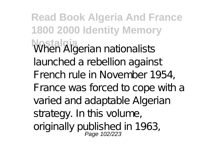**Read Book Algeria And France 1800 2000 Identity Memory Nostalgia** When Algerian nationalists launched a rebellion against French rule in November 1954, France was forced to cope with a varied and adaptable Algerian strategy. In this volume, originally published in 1963,<br>Page 102/223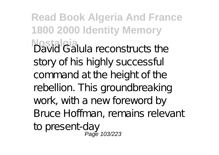**Read Book Algeria And France 1800 2000 Identity Memory Nostalgia** David Galula reconstructs the story of his highly successful command at the height of the rebellion. This groundbreaking work, with a new foreword by Bruce Hoffman, remains relevant to present-day Page 103/223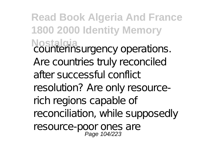**Read Book Algeria And France 1800 2000 Identity Memory Nostalgia**<br>counterinsurgency operations. Are countries truly reconciled after successful conflict resolution? Are only resourcerich regions capable of reconciliation, while supposedly resource-poor ones are<br>Page 104/223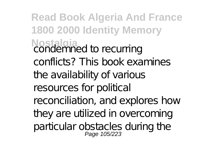**Read Book Algeria And France 1800 2000 Identity Memory Nostalgia** condemned to recurring conflicts? This book examines the availability of various resources for political reconciliation, and explores how they are utilized in overcoming particular obstacles during the<br>Page 105/223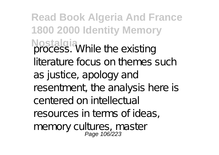**Read Book Algeria And France 1800 2000 Identity Memory Nostalgia**<br>process. While the existing literature focus on themes such as justice, apology and resentment, the analysis here is centered on intellectual resources in terms of ideas, memory cultures, master<br>Page 106/223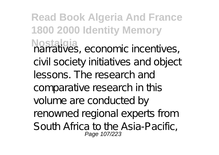**Read Book Algeria And France 1800 2000 Identity Memory Nostalgia** narratives, economic incentives, civil society initiatives and object lessons. The research and comparative research in this volume are conducted by renowned regional experts from South Africa to the Asia-Pacific, Page 107/223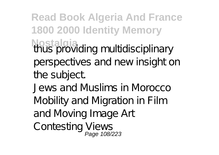**Read Book Algeria And France 1800 2000 Identity Memory Nostalgia**<br>thus providing multidisciplinary perspectives and new insight on the subject. Jews and Muslims in Morocco Mobility and Migration in Film and Moving Image Art Contesting Views<br>Page 108/223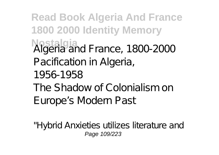## **Read Book Algeria And France 1800 2000 Identity Memory Nostalgia** Algeria and France, 1800-2000 Pacification in Algeria, 1956-1958 The Shadow of Colonialism on Europe's Modern Past

"Hybrid Anxieties utilizes literature and Page 109/223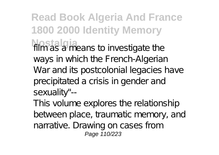**Read Book Algeria And France 1800 2000 Identity Memory** film as a means to investigate the ways in which the French-Algerian War and its postcolonial legacies have precipitated a crisis in gender and sexuality"--

This volume explores the relationship between place, traumatic memory, and narrative. Drawing on cases from Page 110/223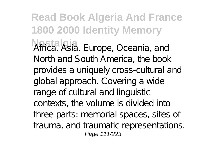**Read Book Algeria And France 1800 2000 Identity Memory Nostalgia** Africa, Asia, Europe, Oceania, and North and South America, the book provides a uniquely cross-cultural and global approach. Covering a wide range of cultural and linguistic contexts, the volume is divided into three parts: memorial spaces, sites of trauma, and traumatic representations. Page 111/223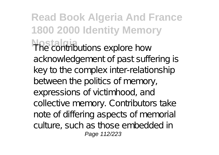**Read Book Algeria And France 1800 2000 Identity Memory Nostalgia** The contributions explore how acknowledgement of past suffering is key to the complex inter-relationship between the politics of memory, expressions of victimhood, and collective memory. Contributors take note of differing aspects of memorial culture, such as those embedded in Page 112/223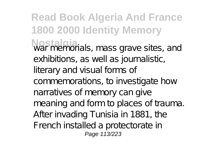**Read Book Algeria And France 1800 2000 Identity Memory Nostalgia** war memorials, mass grave sites, and exhibitions, as well as journalistic, literary and visual forms of commemorations, to investigate how narratives of memory can give meaning and form to places of trauma. After invading Tunisia in 1881, the French installed a protectorate in Page 113/223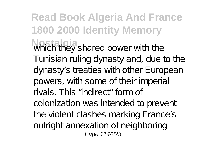**Read Book Algeria And France 1800 2000 Identity Memory** Which they shared power with the Tunisian ruling dynasty and, due to the dynasty's treaties with other European powers, with some of their imperial rivals. This "indirect" form of colonization was intended to prevent the violent clashes marking France's outright annexation of neighboring Page 114/223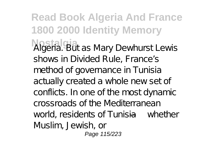**Read Book Algeria And France 1800 2000 Identity Memory Nostalgia** Algeria. But as Mary Dewhurst Lewis shows in Divided Rule, France's method of governance in Tunisia actually created a whole new set of conflicts. In one of the most dynamic crossroads of the Mediterranean world, residents of Tunisia— whether Muslim, Jewish, or Page 115/223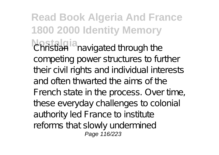**Read Book Algeria And France 1800 2000 Identity Memory Christian—navigated through the** competing power structures to further their civil rights and individual interests and often thwarted the aims of the French state in the process. Over time, these everyday challenges to colonial authority led France to institute reforms that slowly undermined Page 116/223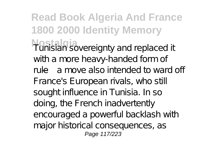**Read Book Algeria And France 1800 2000 Identity Memory Nostalgia** Tunisian sovereignty and replaced it with a more heavy-handed form of rule—a move also intended to ward off France's European rivals, who still sought influence in Tunisia. In so doing, the French inadvertently encouraged a powerful backlash with major historical consequences, as Page 117/223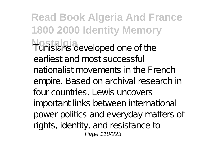**Read Book Algeria And France 1800 2000 Identity Memory Nostalgia** Tunisians developed one of the earliest and most successful nationalist movements in the French empire. Based on archival research in four countries, Lewis uncovers important links between international power politics and everyday matters of rights, identity, and resistance to Page 118/223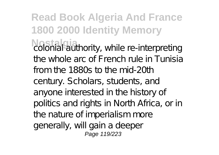**Read Book Algeria And France 1800 2000 Identity Memory Notal authority, while re-interpreting** the whole arc of French rule in Tunisia from the 1880s to the mid-20th century. Scholars, students, and anyone interested in the history of politics and rights in North Africa, or in the nature of imperialism more generally, will gain a deeper Page 119/223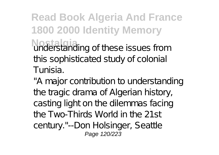## **Read Book Algeria And France 1800 2000 Identity Memory Noteistanding of these issues from** this sophisticated study of colonial Tunisia.

"A major contribution to understanding the tragic drama of Algerian history, casting light on the dilemmas facing the Two-Thirds World in the 21st century."--Don Holsinger, Seattle Page 120/223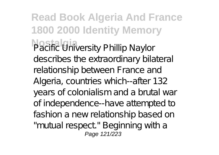**Read Book Algeria And France 1800 2000 Identity Memory Pacific University Phillip Naylor** describes the extraordinary bilateral relationship between France and Algeria, countries which--after 132 years of colonialism and a brutal war of independence--have attempted to fashion a new relationship based on "mutual respect" Beginning with a Page 121/223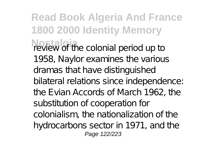**Read Book Algeria And France 1800 2000 Identity Memory November 2015** review of the colonial period up to 1958, Naylor examines the various dramas that have distinguished bilateral relations since independence: the Evian Accords of March 1962, the substitution of cooperation for colonialism, the nationalization of the hydrocarbons sector in 1971, and the Page 122/223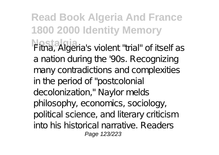**Read Book Algeria And France 1800 2000 Identity Memory Nostalgia** Fitna, Algeria's violent "trial" of itself as a nation during the '90s. Recognizing many contradictions and complexities in the period of "postcolonial decolonization," Naylor melds philosophy, economics, sociology, political science, and literary criticism into his historical narrative. Readers Page 123/223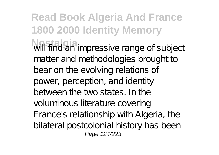**Read Book Algeria And France 1800 2000 Identity Memory Nostalgia** will find an impressive range of subject matter and methodologies brought to bear on the evolving relations of power, perception, and identity between the two states. In the voluminous literature covering France's relationship with Algeria, the bilateral postcolonial history has been Page 124/223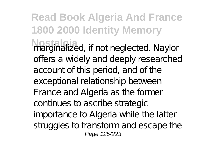**Read Book Algeria And France 1800 2000 Identity Memory Nostalgia** marginalized, if not neglected. Naylor offers a widely and deeply researched account of this period, and of the exceptional relationship between France and Algeria as the former continues to ascribe strategic importance to Algeria while the latter struggles to transform and escape the Page 125/223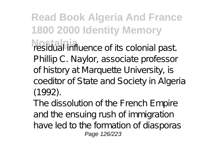**Read Book Algeria And France 1800 2000 Identity Memory** residual influence of its colonial past. Phillip C. Naylor, associate professor of history at Marquette University, is coeditor of State and Society in Algeria (1992).

The dissolution of the French Empire and the ensuing rush of immigration have led to the formation of diasporas Page 126/223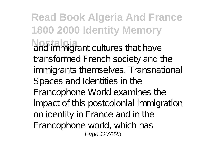**Read Book Algeria And France 1800 2000 Identity Memory Nostal and immigrant cultures that have** transformed French society and the immigrants themselves. Transnational Spaces and Identities in the Francophone World examines the impact of this postcolonial immigration on identity in France and in the Francophone world, which has Page 127/223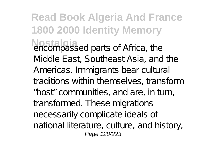**Read Book Algeria And France 1800 2000 Identity Memory Nostalgia** encompassed parts of Africa, the Middle East, Southeast Asia, and the Americas. Immigrants bear cultural traditions within themselves, transform "host" communities, and are, in turn, transformed. These migrations necessarily complicate ideals of national literature, culture, and history, Page 128/223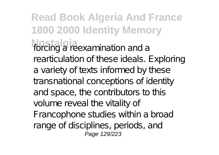**Read Book Algeria And France 1800 2000 Identity Memory** forcing a reexamination and a rearticulation of these ideals. Exploring a variety of texts informed by these transnational conceptions of identity and space, the contributors to this volume reveal the vitality of Francophone studies within a broad range of disciplines, periods, and Page 129/223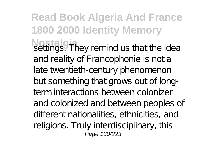**Read Book Algeria And France 1800 2000 Identity Memory Notifially** settings. They remind us that the idea and reality of Francophonie is not a late twentieth-century phenomenon but something that grows out of longterm interactions between colonizer and colonized and between peoples of different nationalities, ethnicities, and religions. Truly interdisciplinary, this Page 130/223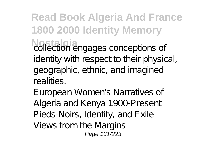**Read Book Algeria And France 1800 2000 Identity Memory Collection engages conceptions of** identity with respect to their physical, geographic, ethnic, and imagined realities.

European Women's Narratives of Algeria and Kenya 1900-Present Pieds-Noirs, Identity, and Exile Views from the Margins Page 131/223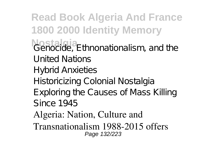**Read Book Algeria And France 1800 2000 Identity Memory** *Genocide*, Ethnonationalism, and the United Nations Hybrid Anxieties Historicizing Colonial Nostalgia Exploring the Causes of Mass Killing Since 1945 Algeria: Nation, Culture and Transnationalism 1988-2015 offers Page 132/223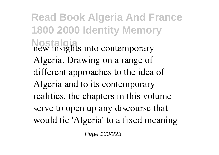**Read Book Algeria And France 1800 2000 Identity Memory Nostalgia** new insights into contemporary Algeria. Drawing on a range of different approaches to the idea of Algeria and to its contemporary realities, the chapters in this volume serve to open up any discourse that would tie 'Algeria' to a fixed meaning

Page 133/223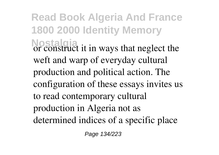**Read Book Algeria And France 1800 2000 Identity Memory Nostalgia** or construct it in ways that neglect the weft and warp of everyday cultural production and political action. The configuration of these essays invites us to read contemporary cultural production in Algeria not as determined indices of a specific place

Page 134/223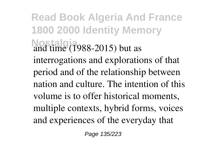**Read Book Algeria And France 1800 2000 Identity Memory Nostalgia** and time (1988-2015) but as interrogations and explorations of that period and of the relationship between nation and culture. The intention of this volume is to offer historical moments, multiple contexts, hybrid forms, voices and experiences of the everyday that

Page 135/223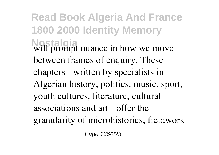**Read Book Algeria And France 1800 2000 Identity Memory Nostalgia** will prompt nuance in how we move between frames of enquiry. These chapters - written by specialists in Algerian history, politics, music, sport, youth cultures, literature, cultural associations and art - offer the granularity of microhistories, fieldwork

Page 136/223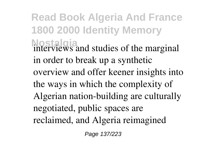**Read Book Algeria And France 1800 2000 Identity Memory** interviews and studies of the marginal in order to break up a synthetic overview and offer keener insights into the ways in which the complexity of Algerian nation-building are culturally negotiated, public spaces are reclaimed, and Algeria reimagined

Page 137/223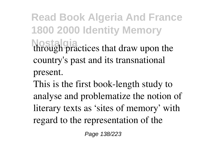**Read Book Algeria And France 1800 2000 Identity Memory Nostalgia** through practices that draw upon the country's past and its transnational present.

This is the first book-length study to analyse and problematize the notion of literary texts as 'sites of memory' with regard to the representation of the

Page 138/223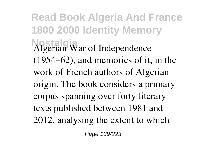**Read Book Algeria And France 1800 2000 Identity Memory Nostalgia** Algerian War of Independence (1954–62), and memories of it, in the work of French authors of Algerian origin. The book considers a primary corpus spanning over forty literary texts published between 1981 and 2012, analysing the extent to which

Page 139/223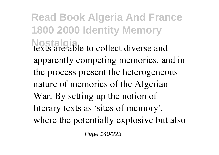**Read Book Algeria And France 1800 2000 Identity Memory Nostalgia** to collect diverse and apparently competing memories, and in the process present the heterogeneous nature of memories of the Algerian War. By setting up the notion of literary texts as 'sites of memory', where the potentially explosive but also

Page 140/223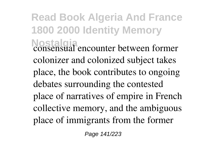**Read Book Algeria And France 1800 2000 Identity Memory Nostalgia** consensual encounter between former colonizer and colonized subject takes place, the book contributes to ongoing debates surrounding the contested place of narratives of empire in French collective memory, and the ambiguous place of immigrants from the former

Page 141/223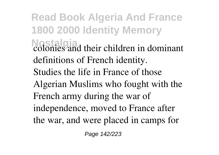**Read Book Algeria And France 1800 2000 Identity Memory Nostalgia** colonies and their children in dominant definitions of French identity. Studies the life in France of those Algerian Muslims who fought with the French army during the war of independence, moved to France after the war, and were placed in camps for

Page 142/223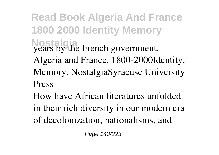**Read Book Algeria And France 1800 2000 Identity Memory Nostalgia** years by the French government. Algeria and France, 1800-2000Identity, Memory, NostalgiaSyracuse University Press

How have African literatures unfolded in their rich diversity in our modern era of decolonization, nationalisms, and

Page 143/223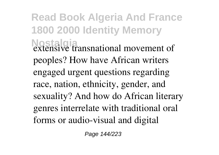**Read Book Algeria And France 1800 2000 Identity Memory Nostalgia** extensive transnational movement of peoples? How have African writers engaged urgent questions regarding race, nation, ethnicity, gender, and sexuality? And how do African literary genres interrelate with traditional oral forms or audio-visual and digital

Page 144/223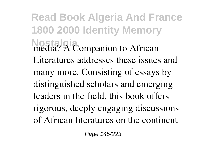**Read Book Algeria And France 1800 2000 Identity Memory Nostalgia**  $\overrightarrow{A}$  Companion to African Literatures addresses these issues and many more. Consisting of essays by distinguished scholars and emerging leaders in the field, this book offers rigorous, deeply engaging discussions of African literatures on the continent

Page 145/223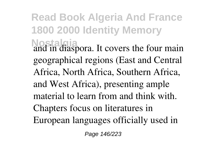**Read Book Algeria And France 1800 2000 Identity Memory Nostalgia** and in diaspora. It covers the four main geographical regions (East and Central Africa, North Africa, Southern Africa, and West Africa), presenting ample material to learn from and think with. Chapters focus on literatures in European languages officially used in

Page 146/223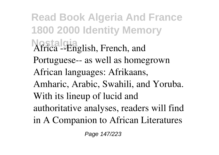**Read Book Algeria And France 1800 2000 Identity Memory Nostalgia** Africa --English, French, and Portuguese-- as well as homegrown African languages: Afrikaans, Amharic, Arabic, Swahili, and Yoruba. With its lineup of lucid and authoritative analyses, readers will find in A Companion to African Literatures

Page 147/223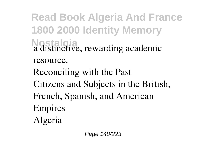**Read Book Algeria And France 1800 2000 Identity Memory Nostalgia** a distinctive, rewarding academic resource. Reconciling with the Past Citizens and Subjects in the British, French, Spanish, and American Empires Algeria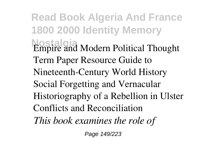**Read Book Algeria And France 1800 2000 Identity Memory Nostalgia** Empire and Modern Political Thought Term Paper Resource Guide to Nineteenth-Century World History Social Forgetting and Vernacular Historiography of a Rebellion in Ulster Conflicts and Reconciliation *This book examines the role of*

Page 149/223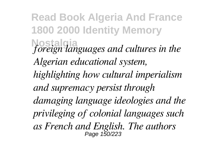**Read Book Algeria And France 1800 2000 Identity Memory Nostalgia** *foreign languages and cultures in the Algerian educational system, highlighting how cultural imperialism and supremacy persist through damaging language ideologies and the privileging of colonial languages such as French and English. The authors* Page 150/223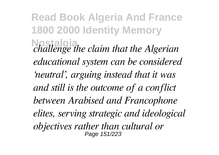**Read Book Algeria And France 1800 2000 Identity Memory Nostalgia** *challenge the claim that the Algerian educational system can be considered 'neutral', arguing instead that it was and still is the outcome of a conflict between Arabised and Francophone elites, serving strategic and ideological objectives rather than cultural or* Page 151/223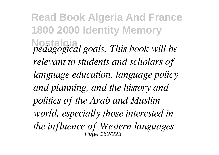**Read Book Algeria And France 1800 2000 Identity Memory Nostalgia** *pedagogical goals. This book will be relevant to students and scholars of language education, language policy and planning, and the history and politics of the Arab and Muslim world, especially those interested in the influence of Western languages* Page 152/223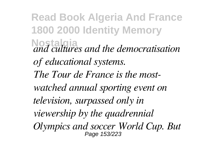**Read Book Algeria And France 1800 2000 Identity Memory Nostalgia** *and cultures and the democratisation of educational systems. The Tour de France is the mostwatched annual sporting event on television, surpassed only in viewership by the quadrennial Olympics and soccer World Cup. But* Page 153/223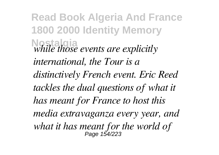**Read Book Algeria And France 1800 2000 Identity Memory Nostalgia** *while those events are explicitly international, the Tour is a distinctively French event. Eric Reed tackles the dual questions of what it has meant for France to host this media extravaganza every year, and what it has meant for the world of* Page 154/223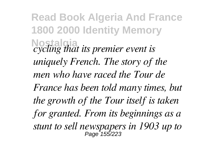**Read Book Algeria And France 1800 2000 Identity Memory Nostalgia** *cycling that its premier event is uniquely French. The story of the men who have raced the Tour de France has been told many times, but the growth of the Tour itself is taken for granted. From its beginnings as a stunt to sell newspapers in 1903 up to* Page 155/223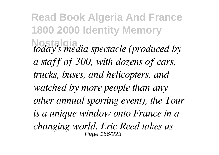**Read Book Algeria And France 1800 2000 Identity Memory Nostalgia** *today's media spectacle (produced by a staff of 300, with dozens of cars, trucks, buses, and helicopters, and watched by more people than any other annual sporting event), the Tour is a unique window onto France in a changing world. Eric Reed takes us* Page 156/223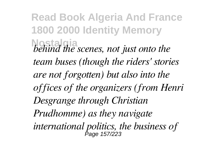**Read Book Algeria And France 1800 2000 Identity Memory Nostalgia** *behind the scenes, not just onto the team buses (though the riders' stories are not forgotten) but also into the offices of the organizers (from Henri Desgrange through Christian Prudhomme) as they navigate international politics, the business of* Page 157/223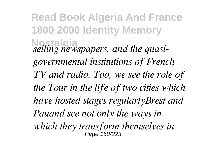**Read Book Algeria And France 1800 2000 Identity Memory Nostalgia** *selling newspapers, and the quasigovernmental institutions of French TV and radio. Too, we see the role of the Tour in the life of two cities which have hosted stages regularlyBrest and Pauand see not only the ways in which they transform themselves in* Page 158/223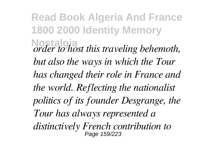**Read Book Algeria And France 1800 2000 Identity Memory Nostalgia** *order to host this traveling behemoth, but also the ways in which the Tour has changed their role in France and the world. Reflecting the nationalist politics of its founder Desgrange, the Tour has always represented a distinctively French contribution to* Page 159/223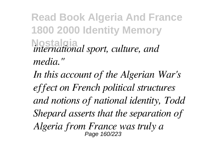## **Read Book Algeria And France 1800 2000 Identity Memory Nostalgia** *international sport, culture, and media."*

*In this account of the Algerian War's effect on French political structures and notions of national identity, Todd Shepard asserts that the separation of Algeria from France was truly a* Page 160/223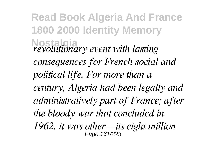**Read Book Algeria And France 1800 2000 Identity Memory Nostalgia** *revolutionary event with lasting consequences for French social and political life. For more than a century, Algeria had been legally and administratively part of France; after the bloody war that concluded in 1962, it was other—its eight million* Page 161/223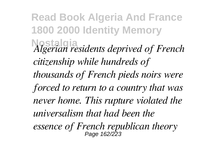**Read Book Algeria And France 1800 2000 Identity Memory Nostalgia** *Algerian residents deprived of French citizenship while hundreds of thousands of French pieds noirs were forced to return to a country that was never home. This rupture violated the universalism that had been the essence of French republican theory* Page 162/223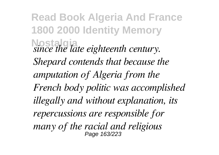**Read Book Algeria And France 1800 2000 Identity Memory Nostalgia** *since the late eighteenth century. Shepard contends that because the amputation of Algeria from the French body politic was accomplished illegally and without explanation, its repercussions are responsible for many of the racial and religious* Page 163/223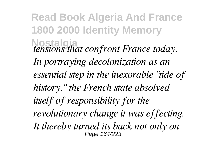**Read Book Algeria And France 1800 2000 Identity Memory Nostalgia** *tensions that confront France today. In portraying decolonization as an essential step in the inexorable "tide of history," the French state absolved itself of responsibility for the revolutionary change it was effecting. It thereby turned its back not only on* Page 164/223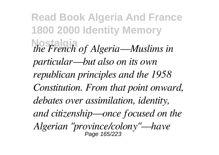**Read Book Algeria And France 1800 2000 Identity Memory Nostalgia** *the French of Algeria—Muslims in particular—but also on its own republican principles and the 1958 Constitution. From that point onward, debates over assimilation, identity, and citizenship—once focused on the Algerian "province/colony"—have* Page 165/223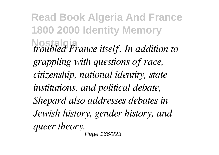**Read Book Algeria And France 1800 2000 Identity Memory Nostalgia** *troubled France itself. In addition to grappling with questions of race, citizenship, national identity, state institutions, and political debate, Shepard also addresses debates in Jewish history, gender history, and queer theory.* .<br>Page 166/223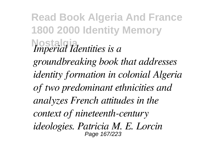**Read Book Algeria And France 1800 2000 Identity Memory Nostalgia** *Imperial Identities is a groundbreaking book that addresses identity formation in colonial Algeria of two predominant ethnicities and analyzes French attitudes in the context of nineteenth-century ideologies. Patricia M. E. Lorcin* Page 167/223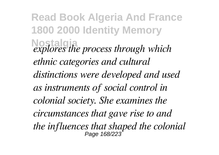**Read Book Algeria And France 1800 2000 Identity Memory Nostalgia** *explores the process through which ethnic categories and cultural distinctions were developed and used as instruments of social control in colonial society. She examines the circumstances that gave rise to and the influences that shaped the colonial* Page 168/223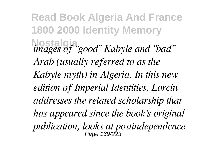**Read Book Algeria And France 1800 2000 Identity Memory Nostalgia** *images of "good" Kabyle and "bad" Arab (usually referred to as the Kabyle myth) in Algeria. In this new edition of Imperial Identities, Lorcin addresses the related scholarship that has appeared since the book's original publication, looks at postindependence* Page 169/223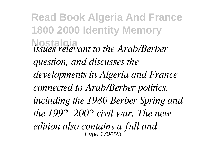**Read Book Algeria And France 1800 2000 Identity Memory Nostalgia** *issues relevant to the Arab/Berber question, and discusses the developments in Algeria and France connected to Arab/Berber politics, including the 1980 Berber Spring and the 1992–2002 civil war. The new edition also contains a full and* Page 170/223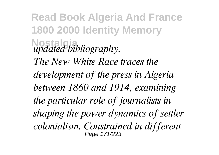**Read Book Algeria And France 1800 2000 Identity Memory Nostalgia** *updated bibliography. The New White Race traces the development of the press in Algeria between 1860 and 1914, examining the particular role of journalists in shaping the power dynamics of settler colonialism. Constrained in different* Page 171/223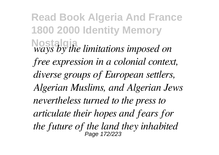**Read Book Algeria And France 1800 2000 Identity Memory Nostalgia** *ways by the limitations imposed on free expression in a colonial context, diverse groups of European settlers, Algerian Muslims, and Algerian Jews nevertheless turned to the press to articulate their hopes and fears for the future of the land they inhabited* Page 172/223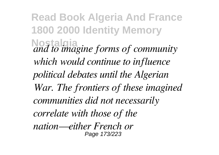**Read Book Algeria And France 1800 2000 Identity Memory Nostalgia** *and to imagine forms of community which would continue to influence political debates until the Algerian War. The frontiers of these imagined communities did not necessarily correlate with those of the nation—either French or* Page 173/223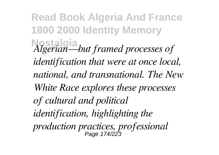**Read Book Algeria And France 1800 2000 Identity Memory Nostalgia** *Algerian—but framed processes of identification that were at once local, national, and transnational. The New White Race explores these processes of cultural and political identification, highlighting the production practices, professional* Page 174/223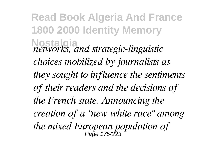**Read Book Algeria And France 1800 2000 Identity Memory Nostalgia** *networks, and strategic-linguistic choices mobilized by journalists as they sought to influence the sentiments of their readers and the decisions of the French state. Announcing the creation of a "new white race" among the mixed European population of* Page 175/223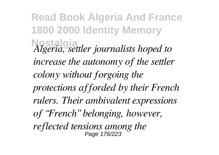**Read Book Algeria And France 1800 2000 Identity Memory Nostalgia** *Algeria, settler journalists hoped to increase the autonomy of the settler colony without forgoing the protections afforded by their French rulers. Their ambivalent expressions of "French" belonging, however, reflected tensions among the* Page 176/223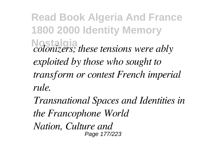**Read Book Algeria And France 1800 2000 Identity Memory Nostalgia** *colonizers; these tensions were ably exploited by those who sought to transform or contest French imperial rule.*

*Transnational Spaces and Identities in the Francophone World Nation, Culture and* Page 177/223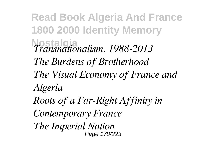**Read Book Algeria And France 1800 2000 Identity Memory Nostalgia** *Transnationalism, 1988-2013 The Burdens of Brotherhood The Visual Economy of France and Algeria Roots of a Far-Right Affinity in Contemporary France*

*The Imperial Nation* Page 178/223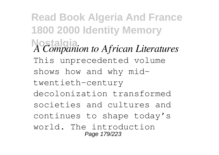**Read Book Algeria And France 1800 2000 Identity Memory Nostalgia** *A Companion to African Literatures* This unprecedented volume shows how and why midtwentieth-century decolonization transformed societies and cultures and continues to shape today's world. The introduction Page 179/223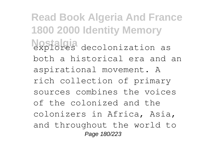**Read Book Algeria And France 1800 2000 Identity Memory Nostalgia** decolonization as both a historical era and an aspirational movement. A rich collection of primary sources combines the voices of the colonized and the colonizers in Africa, Asia, and throughout the world to Page 180/223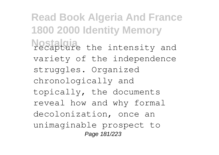**Read Book Algeria And France 1800 2000 Identity Memory Nostaline** the intensity and variety of the independence struggles. Organized chronologically and topically, the documents reveal how and why formal decolonization, once an unimaginable prospect to Page 181/223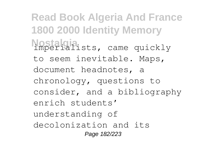**Read Book Algeria And France 1800 2000 Identity Memory Nostalgia** imperialists, came quickly to seem inevitable. Maps, document headnotes, a chronology, questions to consider, and a bibliography enrich students' understanding of decolonization and its Page 182/223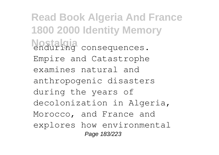**Read Book Algeria And France 1800 2000 Identity Memory Nostalgia** enduring consequences. Empire and Catastrophe examines natural and anthropogenic disasters during the years of decolonization in Algeria, Morocco, and France and explores how environmental Page 183/223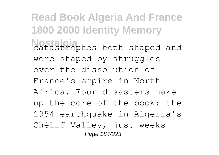**Read Book Algeria And France 1800 2000 Identity Memory Nostalgia**<br>catastrophes both shaped and were shaped by struggles over the dissolution of France's empire in North Africa. Four disasters make up the core of the book: the 1954 earthquake in Algeria's Chélif Valley, just weeks Page 184/223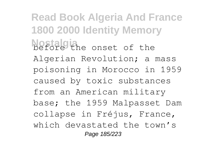**Read Book Algeria And France 1800 2000 Identity Memory Nostalgia** before the onset of the Algerian Revolution; a mass poisoning in Morocco in 1959 caused by toxic substances from an American military base; the 1959 Malpasset Dam collapse in Fréjus, France, which devastated the town's Page 185/223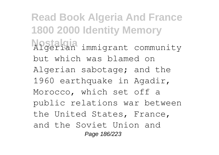**Read Book Algeria And France 1800 2000 Identity Memory Nostalgia** Algerian immigrant community but which was blamed on Algerian sabotage; and the 1960 earthquake in Agadir, Morocco, which set off a public relations war between the United States, France, and the Soviet Union and Page 186/223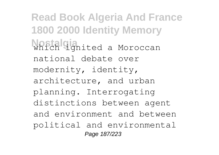**Read Book Algeria And France 1800 2000 Identity Memory Which** *ignited a Moroccan* national debate over modernity, identity, architecture, and urban planning. Interrogating distinctions between agent and environment and between political and environmental Page 187/223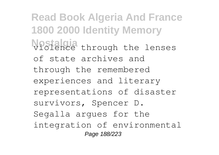**Read Book Algeria And France 1800 2000 Identity Memory Nostalgia** through the lenses of state archives and through the remembered experiences and literary representations of disaster survivors, Spencer D. Segalla argues for the integration of environmental Page 188/223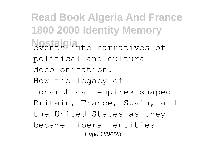**Read Book Algeria And France 1800 2000 Identity Memory Nostalgia**nto narratives of political and cultural decolonization. How the legacy of monarchical empires shaped Britain, France, Spain, and the United States as they became liberal entities Page 189/223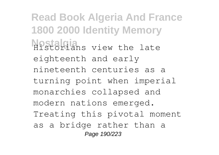**Read Book Algeria And France 1800 2000 Identity Memory Nostalgians** view the late eighteenth and early nineteenth centuries as a turning point when imperial monarchies collapsed and modern nations emerged. Treating this pivotal moment as a bridge rather than a Page 190/223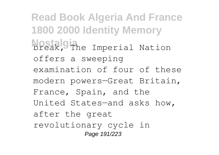**Read Book Algeria And France 1800 2000 Identity Memory Nostalgine** Imperial Nation offers a sweeping examination of four of these modern powers—Great Britain, France, Spain, and the United States—and asks how, after the great revolutionary cycle in Page 191/223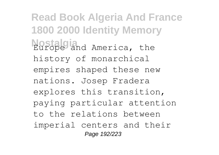**Read Book Algeria And France 1800 2000 Identity Memory Nostalgia**<br>Europe and America, the history of monarchical empires shaped these new nations. Josep Fradera explores this transition, paying particular attention to the relations between imperial centers and their Page 192/223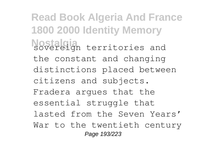**Read Book Algeria And France 1800 2000 Identity Memory Nostalian** territories and the constant and changing distinctions placed between citizens and subjects. Fradera argues that the essential struggle that lasted from the Seven Years' War to the twentieth century Page 193/223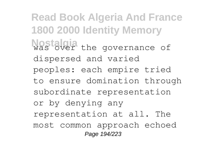**Read Book Algeria And France 1800 2000 Identity Memory Nostalgia** the governance of dispersed and varied peoples: each empire tried to ensure domination through subordinate representation or by denying any representation at all. The most common approach echoed Page 194/223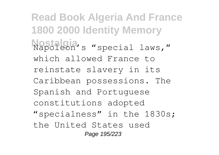**Read Book Algeria And France 1800 2000 Identity Memory Nostalgia** Napoleon's "special laws," which allowed France to reinstate slavery in its Caribbean possessions. The Spanish and Portuguese constitutions adopted "specialness" in the 1830s; the United States used Page 195/223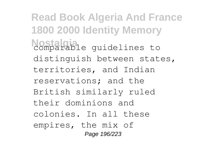**Read Book Algeria And France 1800 2000 Identity Memory Nostalgia** quidelines to distinguish between states, territories, and Indian reservations; and the British similarly ruled their dominions and colonies. In all these empires, the mix of Page 196/223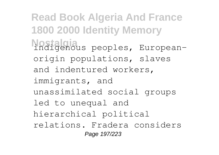**Read Book Algeria And France 1800 2000 Identity Memory Nostalgia** indigenous peoples, Europeanorigin populations, slaves and indentured workers, immigrants, and unassimilated social groups led to unequal and hierarchical political relations. Fradera considers Page 197/223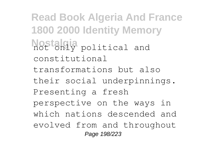**Read Book Algeria And France 1800 2000 Identity Memory Nostaki**y political and constitutional transformations but also their social underpinnings. Presenting a fresh perspective on the ways in which nations descended and evolved from and throughout Page 198/223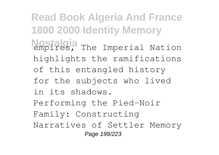**Read Book Algeria And France 1800 2000 Identity Memory Nostalgia** The Imperial Nation highlights the ramifications of this entangled history for the subjects who lived in its shadows. Performing the Pied-Noir Family: Constructing Narratives of Settler Memory Page 199/223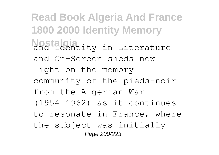**Read Book Algeria And France 1800 2000 Identity Memory Nostalingia** in Literature and On-Screen sheds new light on the memory community of the pieds-noir from the Algerian War (1954-1962) as it continues to resonate in France, where the subject was initially Page 200/223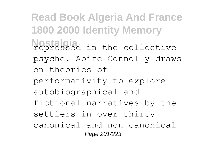**Read Book Algeria And France 1800 2000 Identity Memory Nostalgia** repressed in the collective psyche. Aoife Connolly draws on theories of performativity to explore autobiographical and fictional narratives by the settlers in over thirty canonical and non-canonical Page 201/223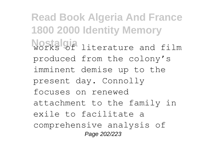**Read Book Algeria And France 1800 2000 Identity Memory Nostalgia** literature and film produced from the colony's imminent demise up to the present day. Connolly focuses on renewed attachment to the family in exile to facilitate a comprehensive analysis of Page 202/223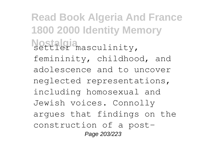**Read Book Algeria And France 1800 2000 Identity Memory** Nostalgia<br>settler masculinity, femininity, childhood, and adolescence and to uncover neglected representations, including homosexual and Jewish voices. Connolly argues that findings on the construction of a post-Page 203/223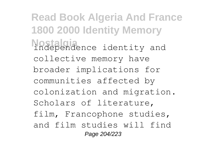**Read Book Algeria And France 1800 2000 Identity Memory Nostalgia** independence identity and collective memory have broader implications for communities affected by colonization and migration. Scholars of literature, film, Francophone studies, and film studies will find Page 204/223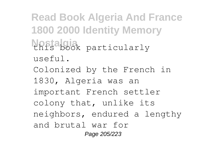**Read Book Algeria And France 1800 2000 Identity Memory Nostalgia** this book particularly useful. Colonized by the French in 1830, Algeria was an important French settler colony that, unlike its neighbors, endured a lengthy and brutal war for Page 205/223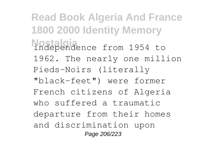**Read Book Algeria And France 1800 2000 Identity Memory Nostalgia** independence from 1954 to 1962. The nearly one million Pieds-Noirs (literally "black-feet") were former French citizens of Algeria who suffered a traumatic departure from their homes and discrimination upon Page 206/223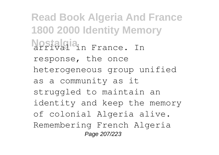**Read Book Algeria And France 1800 2000 Identity Memory Nostalgia** France. In response, the once heterogeneous group unified as a community as it struggled to maintain an identity and keep the memory of colonial Algeria alive. Remembering French Algeria Page 207/223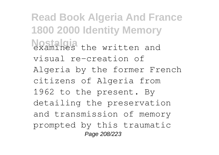**Read Book Algeria And France 1800 2000 Identity Memory Nostalgia** the written and visual re-creation of Algeria by the former French citizens of Algeria from 1962 to the present. By detailing the preservation and transmission of memory prompted by this traumatic Page 208/223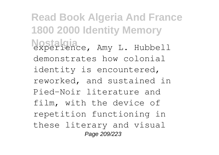**Read Book Algeria And France 1800 2000 Identity Memory Nostalgia** experience, Amy L. Hubbell demonstrates how colonial identity is encountered, reworked, and sustained in Pied-Noir literature and film, with the device of repetition functioning in these literary and visual Page 209/223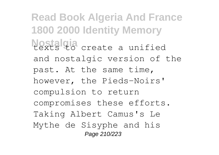**Read Book Algeria And France 1800 2000 Identity Memory Nostalgia** create a unified and nostalgic version of the past. At the same time, however, the Pieds-Noirs' compulsion to return compromises these efforts. Taking Albert Camus's Le Mythe de Sisyphe and his Page 210/223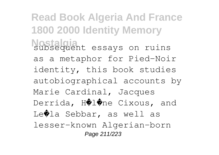**Read Book Algeria And France 1800 2000 Identity Memory Nostalgiant** essays on ruins as a metaphor for Pied-Noir identity, this book studies autobiographical accounts by Marie Cardinal, Jacques Derrida, H�l�ne Cixous, and Le�la Sebbar, as well as lesser-known Algerian-born Page 211/223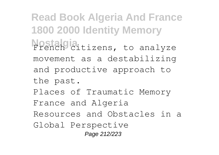**Read Book Algeria And France 1800 2000 Identity Memory Nostalgia**itizens, to analyze movement as a destabilizing and productive approach to the past. Places of Traumatic Memory France and Algeria Resources and Obstacles in a Global Perspective Page 212/223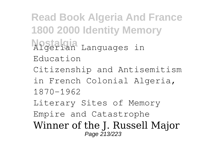**Read Book Algeria And France 1800 2000 Identity Memory Nostalgia** Algerian Languages in Education Citizenship and Antisemitism in French Colonial Algeria, 1870-1962 Literary Sites of Memory Empire and Catastrophe Winner of the J. Russell Major Page 213/223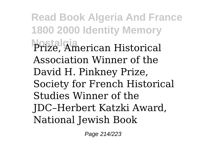**Read Book Algeria And France 1800 2000 Identity Memory Nostalgia** Prize, American Historical Association Winner of the David H. Pinkney Prize, Society for French Historical Studies Winner of the JDC–Herbert Katzki Award, National Jewish Book

Page 214/223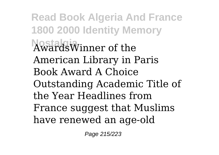**Read Book Algeria And France 1800 2000 Identity Memory Nostalgia** AwardsWinner of the American Library in Paris Book Award A Choice Outstanding Academic Title of the Year Headlines from France suggest that Muslims have renewed an age-old

Page 215/223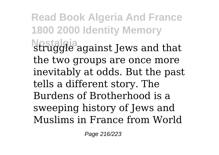**Read Book Algeria And France 1800 2000 Identity Memory Nostalgia** struggle against Jews and that the two groups are once more inevitably at odds. But the past tells a different story. The Burdens of Brotherhood is a sweeping history of Jews and Muslims in France from World

Page 216/223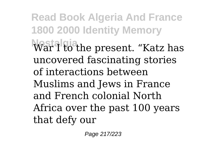**Read Book Algeria And France 1800 2000 Identity Memory War I** to the present. "Katz has uncovered fascinating stories of interactions between Muslims and Jews in France and French colonial North Africa over the past 100 years that defy our

Page 217/223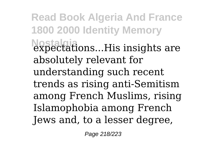**Read Book Algeria And France 1800 2000 Identity Memory Nostalgia** expectations...His insights are absolutely relevant for understanding such recent trends as rising anti-Semitism among French Muslims, rising Islamophobia among French Jews and, to a lesser degree,

Page 218/223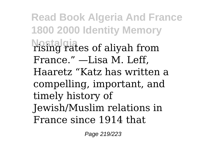**Read Book Algeria And France 1800 2000 Identity Memory Nostalgia** rising rates of aliyah from France." —Lisa M. Leff, Haaretz "Katz has written a compelling, important, and timely history of Jewish/Muslim relations in France since 1914 that

Page 219/223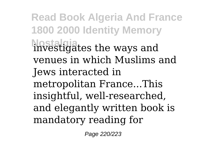**Read Book Algeria And France 1800 2000 Identity Memory Nostalgia** investigates the ways and venues in which Muslims and Jews interacted in metropolitan France...This insightful, well-researched, and elegantly written book is mandatory reading for

Page 220/223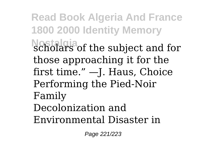**Read Book Algeria And France 1800 2000 Identity Memory Nostalgia** scholars of the subject and for those approaching it for the first time." —J. Haus, Choice Performing the Pied-Noir Family Decolonization and Environmental Disaster in

Page 221/223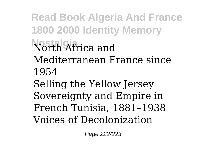**Read Book Algeria And France 1800 2000 Identity Memory Nostalgia** North Africa and Mediterranean France since 1954 Selling the Yellow Jersey Sovereignty and Empire in French Tunisia, 1881–1938 Voices of Decolonization

Page 222/223